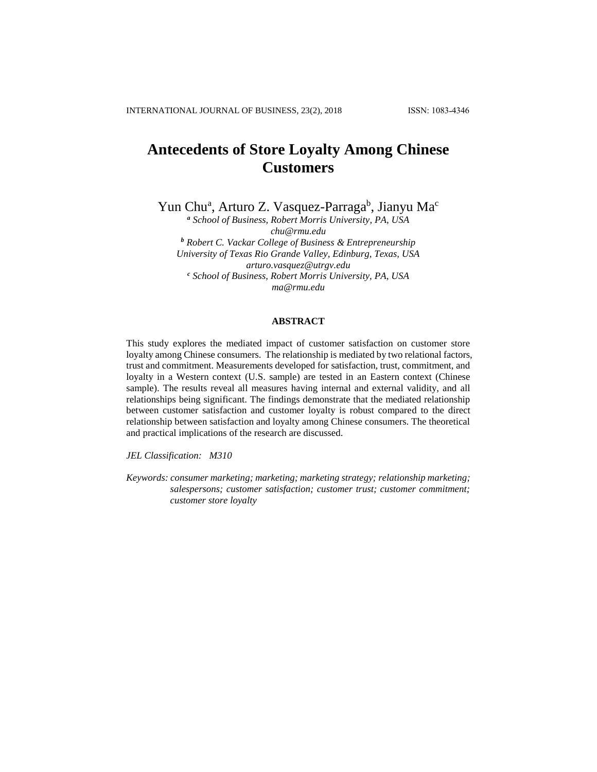# **Antecedents of Store Loyalty Among Chinese Customers**

Yun Chu<sup>a</sup>, Arturo Z. Vasquez-Parraga<sup>b</sup>, Jianyu Ma<sup>c</sup>

*<sup>a</sup> School of Business, Robert Morris University, PA, USA chu@rmu.edu <sup>b</sup> Robert C. Vackar College of Business & Entrepreneurship University of Texas Rio Grande Valley, Edinburg, Texas, USA arturo.vasquez@utrgv.edu <sup>c</sup> School of Business, Robert Morris University, PA, USA ma@rmu.edu*

# **ABSTRACT**

This study explores the mediated impact of customer satisfaction on customer store loyalty among Chinese consumers. The relationship is mediated by two relational factors, trust and commitment. Measurements developed for satisfaction, trust, commitment, and loyalty in a Western context (U.S. sample) are tested in an Eastern context (Chinese sample). The results reveal all measures having internal and external validity, and all relationships being significant. The findings demonstrate that the mediated relationship between customer satisfaction and customer loyalty is robust compared to the direct relationship between satisfaction and loyalty among Chinese consumers. The theoretical and practical implications of the research are discussed.

*JEL Classification: M310*

*Keywords: consumer marketing; marketing; marketing strategy; relationship marketing; salespersons; customer satisfaction; customer trust; customer commitment; customer store loyalty*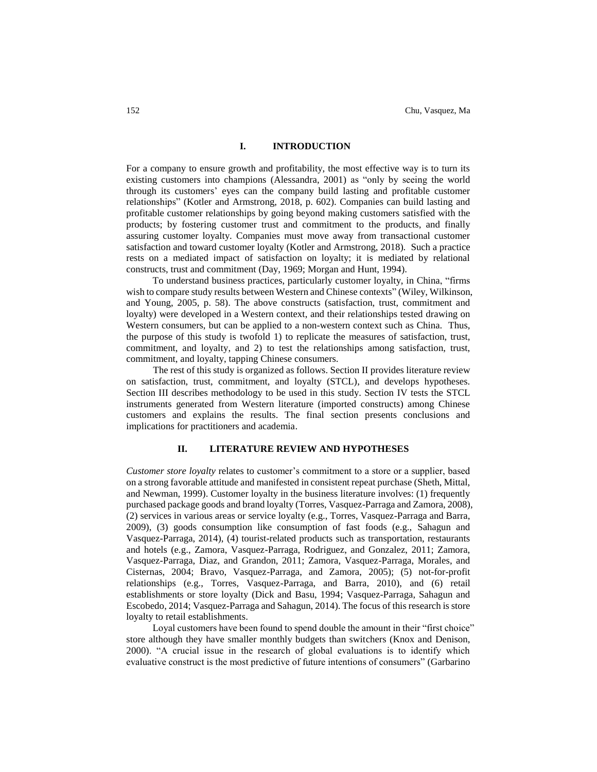### **I. INTRODUCTION**

For a company to ensure growth and profitability, the most effective way is to turn its existing customers into champions (Alessandra, 2001) as "only by seeing the world through its customers' eyes can the company build lasting and profitable customer relationships" (Kotler and Armstrong, 2018, p. 602). Companies can build lasting and profitable customer relationships by going beyond making customers satisfied with the products; by fostering customer trust and commitment to the products, and finally assuring customer loyalty. Companies must move away from transactional customer satisfaction and toward customer loyalty (Kotler and Armstrong, 2018). Such a practice rests on a mediated impact of satisfaction on loyalty; it is mediated by relational constructs, trust and commitment (Day, 1969; Morgan and Hunt, 1994).

To understand business practices, particularly customer loyalty, in China, "firms wish to compare study results between Western and Chinese contexts" (Wiley, Wilkinson, and Young, 2005, p. 58). The above constructs (satisfaction, trust, commitment and loyalty) were developed in a Western context, and their relationships tested drawing on Western consumers, but can be applied to a non-western context such as China. Thus, the purpose of this study is twofold 1) to replicate the measures of satisfaction, trust, commitment, and loyalty, and 2) to test the relationships among satisfaction, trust, commitment, and loyalty, tapping Chinese consumers.

The rest of this study is organized as follows. Section II provides literature review on satisfaction, trust, commitment, and loyalty (STCL), and develops hypotheses. Section III describes methodology to be used in this study. Section IV tests the STCL instruments generated from Western literature (imported constructs) among Chinese customers and explains the results. The final section presents conclusions and implications for practitioners and academia.

## **II. LITERATURE REVIEW AND HYPOTHESES**

*Customer store loyalty* relates to customer's commitment to a store or a supplier, based on a strong favorable attitude and manifested in consistent repeat purchase (Sheth, Mittal, and Newman, 1999). Customer loyalty in the business literature involves: (1) frequently purchased package goods and brand loyalty (Torres, Vasquez-Parraga and Zamora, 2008), (2) services in various areas or service loyalty (e.g., Torres, Vasquez-Parraga and Barra, 2009), (3) goods consumption like consumption of fast foods (e.g., Sahagun and Vasquez-Parraga, 2014), (4) tourist-related products such as transportation, restaurants and hotels (e.g., Zamora, Vasquez-Parraga, Rodriguez, and Gonzalez, 2011; Zamora, Vasquez-Parraga, Diaz, and Grandon, 2011; Zamora, Vasquez-Parraga, Morales, and Cisternas, 2004; Bravo, Vasquez-Parraga, and Zamora, 2005); (5) not-for-profit relationships (e.g., Torres, Vasquez-Parraga, and Barra, 2010), and (6) retail establishments or store loyalty (Dick and Basu, 1994; Vasquez-Parraga, Sahagun and Escobedo, 2014; Vasquez-Parraga and Sahagun, 2014). The focus of this research is store loyalty to retail establishments.

Loyal customers have been found to spend double the amount in their "first choice" store although they have smaller monthly budgets than switchers (Knox and Denison, 2000). "A crucial issue in the research of global evaluations is to identify which evaluative construct is the most predictive of future intentions of consumers" (Garbarino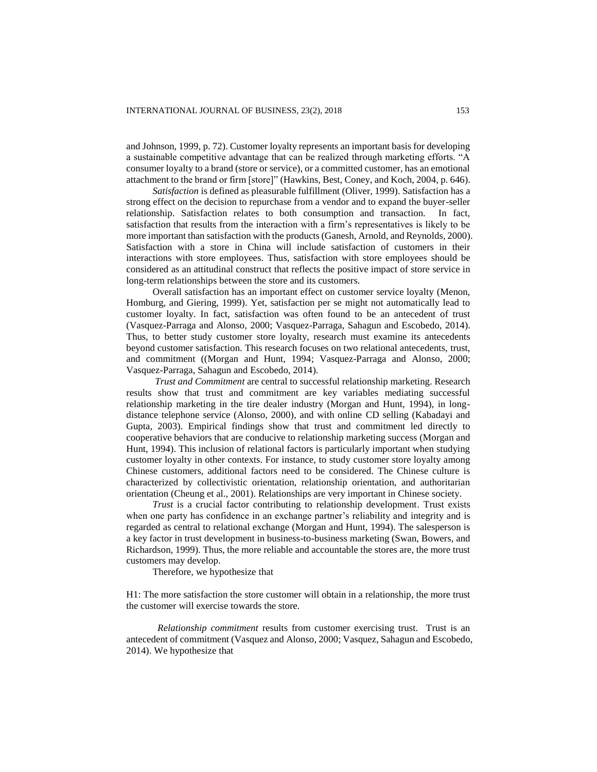and Johnson, 1999, p. 72). Customer loyalty represents an important basis for developing a sustainable competitive advantage that can be realized through marketing efforts. "A consumer loyalty to a brand (store or service), or a committed customer, has an emotional attachment to the brand or firm [store]" (Hawkins, Best, Coney, and Koch, 2004, p. 646).

*Satisfaction* is defined as pleasurable fulfillment (Oliver, 1999). Satisfaction has a strong effect on the decision to repurchase from a vendor and to expand the buyer-seller relationship. Satisfaction relates to both consumption and transaction. In fact, satisfaction that results from the interaction with a firm's representatives is likely to be more important than satisfaction with the products (Ganesh, Arnold, and Reynolds, 2000). Satisfaction with a store in China will include satisfaction of customers in their interactions with store employees. Thus, satisfaction with store employees should be considered as an attitudinal construct that reflects the positive impact of store service in long-term relationships between the store and its customers.

Overall satisfaction has an important effect on customer service loyalty (Menon, Homburg, and Giering, 1999). Yet, satisfaction per se might not automatically lead to customer loyalty. In fact, satisfaction was often found to be an antecedent of trust (Vasquez-Parraga and Alonso, 2000; Vasquez-Parraga, Sahagun and Escobedo, 2014). Thus, to better study customer store loyalty, research must examine its antecedents beyond customer satisfaction. This research focuses on two relational antecedents, trust, and commitment ((Morgan and Hunt, 1994; Vasquez-Parraga and Alonso, 2000; Vasquez-Parraga, Sahagun and Escobedo, 2014).

*Trust and Commitment* are central to successful relationship marketing. Research results show that trust and commitment are key variables mediating successful relationship marketing in the tire dealer industry (Morgan and Hunt, 1994), in longdistance telephone service (Alonso, 2000), and with online CD selling (Kabadayi and Gupta, 2003). Empirical findings show that trust and commitment led directly to cooperative behaviors that are conducive to relationship marketing success (Morgan and Hunt, 1994). This inclusion of relational factors is particularly important when studying customer loyalty in other contexts. For instance, to study customer store loyalty among Chinese customers, additional factors need to be considered. The Chinese culture is characterized by collectivistic orientation, relationship orientation, and authoritarian orientation (Cheung et al., 2001). Relationships are very important in Chinese society.

*Trust* is a crucial factor contributing to relationship development. Trust exists when one party has confidence in an exchange partner's reliability and integrity and is regarded as central to relational exchange (Morgan and Hunt, 1994). The salesperson is a key factor in trust development in business-to-business marketing (Swan, Bowers, and Richardson, 1999). Thus, the more reliable and accountable the stores are, the more trust customers may develop.

Therefore, we hypothesize that

H1: The more satisfaction the store customer will obtain in a relationship, the more trust the customer will exercise towards the store.

*Relationship commitment* results from customer exercising trust. Trust is an antecedent of commitment (Vasquez and Alonso, 2000; Vasquez, Sahagun and Escobedo, 2014). We hypothesize that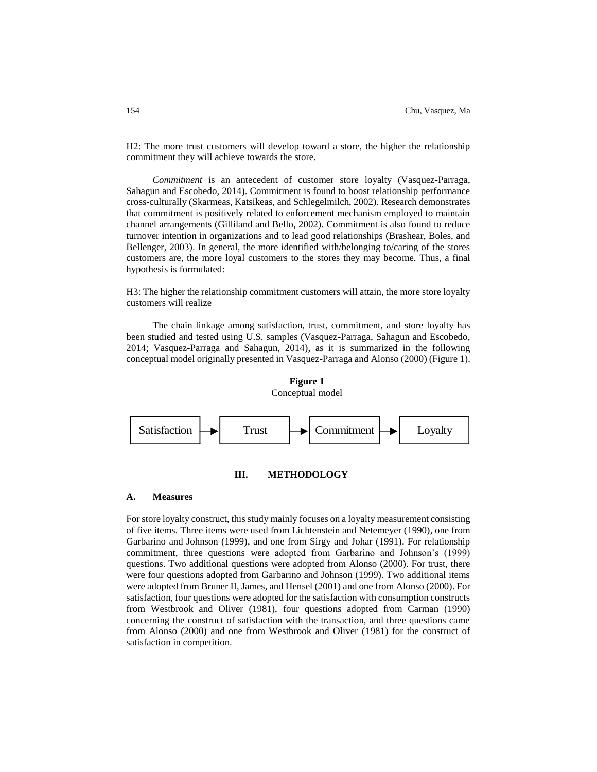H2: The more trust customers will develop toward a store, the higher the relationship commitment they will achieve towards the store.

*Commitment* is an antecedent of customer store loyalty (Vasquez-Parraga, Sahagun and Escobedo, 2014). Commitment is found to boost relationship performance cross-culturally (Skarmeas, Katsikeas, and Schlegelmilch, 2002). Research demonstrates that commitment is positively related to enforcement mechanism employed to maintain channel arrangements (Gilliland and Bello, 2002). Commitment is also found to reduce turnover intention in organizations and to lead good relationships (Brashear, Boles, and Bellenger, 2003). In general, the more identified with/belonging to/caring of the stores customers are, the more loyal customers to the stores they may become. Thus, a final hypothesis is formulated:

H3: The higher the relationship commitment customers will attain, the more store loyalty customers will realize

The chain linkage among satisfaction, trust, commitment, and store loyalty has been studied and tested using U.S. samples (Vasquez-Parraga, Sahagun and Escobedo, 2014; Vasquez-Parraga and Sahagun, 2014), as it is summarized in the following conceptual model originally presented in Vasquez-Parraga and Alonso (2000) (Figure 1).

# **Figure 1** Conceptual model



# **III. METHODOLOGY**

# **A. Measures**

For store loyalty construct, this study mainly focuses on a loyalty measurement consisting of five items. Three items were used from Lichtenstein and Netemeyer (1990), one from Garbarino and Johnson (1999), and one from Sirgy and Johar (1991). For relationship commitment, three questions were adopted from Garbarino and Johnson's (1999) questions. Two additional questions were adopted from Alonso (2000). For trust, there were four questions adopted from Garbarino and Johnson (1999). Two additional items were adopted from Bruner II, James, and Hensel (2001) and one from Alonso (2000). For satisfaction, four questions were adopted for the satisfaction with consumption constructs from Westbrook and Oliver (1981), four questions adopted from Carman (1990) concerning the construct of satisfaction with the transaction, and three questions came from Alonso (2000) and one from Westbrook and Oliver (1981) for the construct of satisfaction in competition.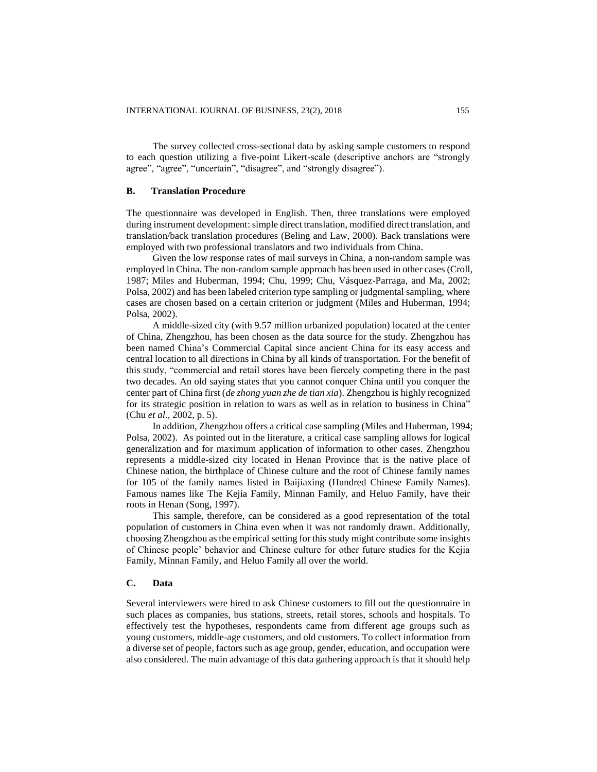The survey collected cross-sectional data by asking sample customers to respond to each question utilizing a five-point Likert-scale (descriptive anchors are "strongly agree", "agree", "uncertain", "disagree", and "strongly disagree").

# **B. Translation Procedure**

The questionnaire was developed in English. Then, three translations were employed during instrument development: simple direct translation, modified direct translation, and translation/back translation procedures (Beling and Law, 2000). Back translations were employed with two professional translators and two individuals from China.

Given the low response rates of mail surveys in China, a non-random sample was employed in China. The non-random sample approach has been used in other cases (Croll, 1987; Miles and Huberman, 1994; Chu, 1999; Chu, Vásquez-Parraga, and Ma, 2002; Polsa, 2002) and has been labeled criterion type sampling or judgmental sampling, where cases are chosen based on a certain criterion or judgment (Miles and Huberman, 1994; Polsa, 2002).

A middle-sized city (with 9.57 million urbanized population) located at the center of China, Zhengzhou, has been chosen as the data source for the study. Zhengzhou has been named China's Commercial Capital since ancient China for its easy access and central location to all directions in China by all kinds of transportation. For the benefit of this study, "commercial and retail stores have been fiercely competing there in the past two decades. An old saying states that you cannot conquer China until you conquer the center part of China first (*de zhong yuan zhe de tian xia*). Zhengzhou is highly recognized for its strategic position in relation to wars as well as in relation to business in China" (Chu *et al*., 2002, p. 5).

In addition, Zhengzhou offers a critical case sampling (Miles and Huberman, 1994; Polsa, 2002). As pointed out in the literature, a critical case sampling allows for logical generalization and for maximum application of information to other cases. Zhengzhou represents a middle-sized city located in Henan Province that is the native place of Chinese nation, the birthplace of Chinese culture and the root of Chinese family names for 105 of the family names listed in Baijiaxing (Hundred Chinese Family Names). Famous names like The Kejia Family, Minnan Family, and Heluo Family, have their roots in Henan (Song, 1997).

This sample, therefore, can be considered as a good representation of the total population of customers in China even when it was not randomly drawn. Additionally, choosing Zhengzhou as the empirical setting for this study might contribute some insights of Chinese people' behavior and Chinese culture for other future studies for the Kejia Family, Minnan Family, and Heluo Family all over the world.

# **C. Data**

Several interviewers were hired to ask Chinese customers to fill out the questionnaire in such places as companies, bus stations, streets, retail stores, schools and hospitals. To effectively test the hypotheses, respondents came from different age groups such as young customers, middle-age customers, and old customers. To collect information from a diverse set of people, factors such as age group, gender, education, and occupation were also considered. The main advantage of this data gathering approach is that it should help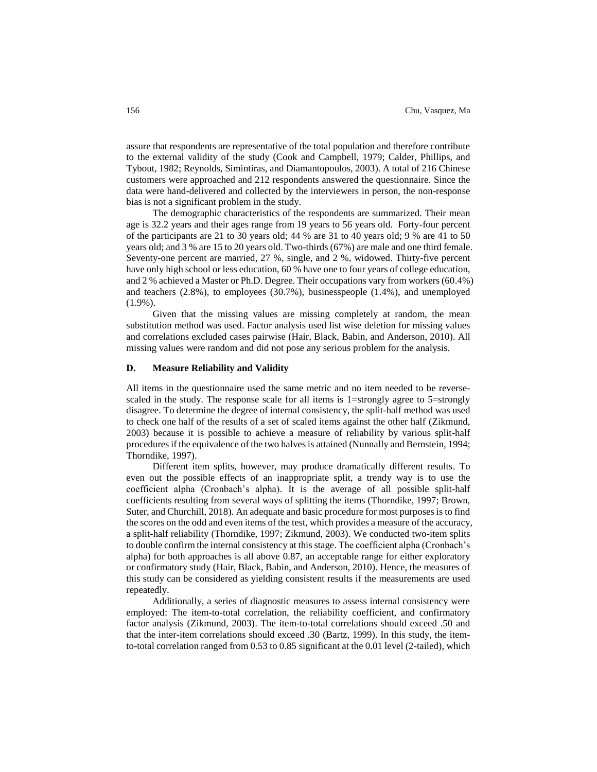assure that respondents are representative of the total population and therefore contribute to the external validity of the study (Cook and Campbell, 1979; Calder, Phillips, and Tybout, 1982; Reynolds, Simintiras, and Diamantopoulos, 2003). A total of 216 Chinese customers were approached and 212 respondents answered the questionnaire. Since the data were hand-delivered and collected by the interviewers in person, the non-response bias is not a significant problem in the study.

The demographic characteristics of the respondents are summarized. Their mean age is 32.2 years and their ages range from 19 years to 56 years old. Forty-four percent of the participants are 21 to 30 years old; 44 % are 31 to 40 years old; 9 % are 41 to 50 years old; and 3 % are 15 to 20 years old. Two-thirds (67%) are male and one third female. Seventy-one percent are married, 27 %, single, and 2 %, widowed. Thirty-five percent have only high school or less education, 60 % have one to four years of college education, and 2 % achieved a Master or Ph.D. Degree. Their occupations vary from workers (60.4%) and teachers (2.8%), to employees (30.7%), businesspeople (1.4%), and unemployed (1.9%).

Given that the missing values are missing completely at random, the mean substitution method was used. Factor analysis used list wise deletion for missing values and correlations excluded cases pairwise (Hair, Black, Babin, and Anderson, 2010). All missing values were random and did not pose any serious problem for the analysis.

# **D. Measure Reliability and Validity**

All items in the questionnaire used the same metric and no item needed to be reversescaled in the study. The response scale for all items is 1=strongly agree to 5=strongly disagree. To determine the degree of internal consistency, the split-half method was used to check one half of the results of a set of scaled items against the other half (Zikmund, 2003) because it is possible to achieve a measure of reliability by various split-half procedures if the equivalence of the two halves is attained (Nunnally and Bernstein, 1994; Thorndike, 1997).

Different item splits, however, may produce dramatically different results. To even out the possible effects of an inappropriate split, a trendy way is to use the coefficient alpha (Cronbach's alpha). It is the average of all possible split-half coefficients resulting from several ways of splitting the items (Thorndike, 1997; Brown, Suter, and Churchill, 2018). An adequate and basic procedure for most purposes is to find the scores on the odd and even items of the test, which provides a measure of the accuracy, a split-half reliability (Thorndike, 1997; Zikmund, 2003). We conducted two-item splits to double confirm the internal consistency at this stage. The coefficient alpha (Cronbach's alpha) for both approaches is all above 0.87, an acceptable range for either exploratory or confirmatory study (Hair, Black, Babin, and Anderson, 2010). Hence, the measures of this study can be considered as yielding consistent results if the measurements are used repeatedly.

Additionally, a series of diagnostic measures to assess internal consistency were employed: The item-to-total correlation, the reliability coefficient, and confirmatory factor analysis (Zikmund, 2003). The item-to-total correlations should exceed .50 and that the inter-item correlations should exceed .30 (Bartz, 1999). In this study, the itemto-total correlation ranged from 0.53 to 0.85 significant at the 0.01 level (2-tailed), which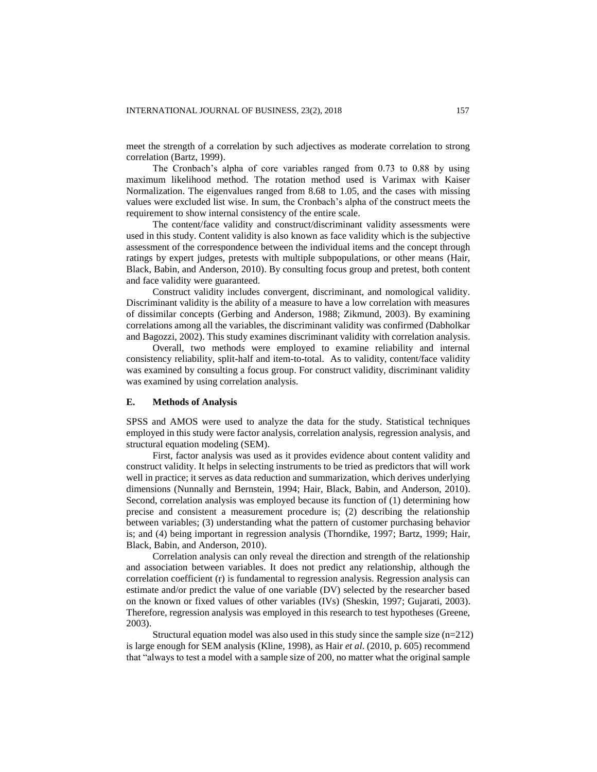meet the strength of a correlation by such adjectives as moderate correlation to strong correlation (Bartz, 1999).

The Cronbach's alpha of core variables ranged from 0.73 to 0.88 by using maximum likelihood method. The rotation method used is Varimax with Kaiser Normalization. The eigenvalues ranged from 8.68 to 1.05, and the cases with missing values were excluded list wise. In sum, the Cronbach's alpha of the construct meets the requirement to show internal consistency of the entire scale.

The content/face validity and construct/discriminant validity assessments were used in this study. Content validity is also known as face validity which is the subjective assessment of the correspondence between the individual items and the concept through ratings by expert judges, pretests with multiple subpopulations, or other means (Hair, Black, Babin, and Anderson, 2010). By consulting focus group and pretest, both content and face validity were guaranteed.

Construct validity includes convergent, discriminant, and nomological validity. Discriminant validity is the ability of a measure to have a low correlation with measures of dissimilar concepts (Gerbing and Anderson, 1988; Zikmund, 2003). By examining correlations among all the variables, the discriminant validity was confirmed (Dabholkar and Bagozzi, 2002). This study examines discriminant validity with correlation analysis.

Overall, two methods were employed to examine reliability and internal consistency reliability, split-half and item-to-total. As to validity, content/face validity was examined by consulting a focus group. For construct validity, discriminant validity was examined by using correlation analysis.

## **E. Methods of Analysis**

SPSS and AMOS were used to analyze the data for the study. Statistical techniques employed in this study were factor analysis, correlation analysis, regression analysis, and structural equation modeling (SEM).

First, factor analysis was used as it provides evidence about content validity and construct validity. It helps in selecting instruments to be tried as predictors that will work well in practice; it serves as data reduction and summarization, which derives underlying dimensions (Nunnally and Bernstein, 1994; Hair, Black, Babin, and Anderson, 2010). Second, correlation analysis was employed because its function of (1) determining how precise and consistent a measurement procedure is; (2) describing the relationship between variables; (3) understanding what the pattern of customer purchasing behavior is; and (4) being important in regression analysis (Thorndike, 1997; Bartz, 1999; Hair, Black, Babin, and Anderson, 2010).

Correlation analysis can only reveal the direction and strength of the relationship and association between variables. It does not predict any relationship, although the correlation coefficient (r) is fundamental to regression analysis. Regression analysis can estimate and/or predict the value of one variable (DV) selected by the researcher based on the known or fixed values of other variables (IVs) (Sheskin, 1997; Gujarati, 2003). Therefore, regression analysis was employed in this research to test hypotheses (Greene, 2003).

Structural equation model was also used in this study since the sample size  $(n=212)$ is large enough for SEM analysis (Kline, 1998), as Hair *et al*. (2010, p. 605) recommend that "always to test a model with a sample size of 200, no matter what the original sample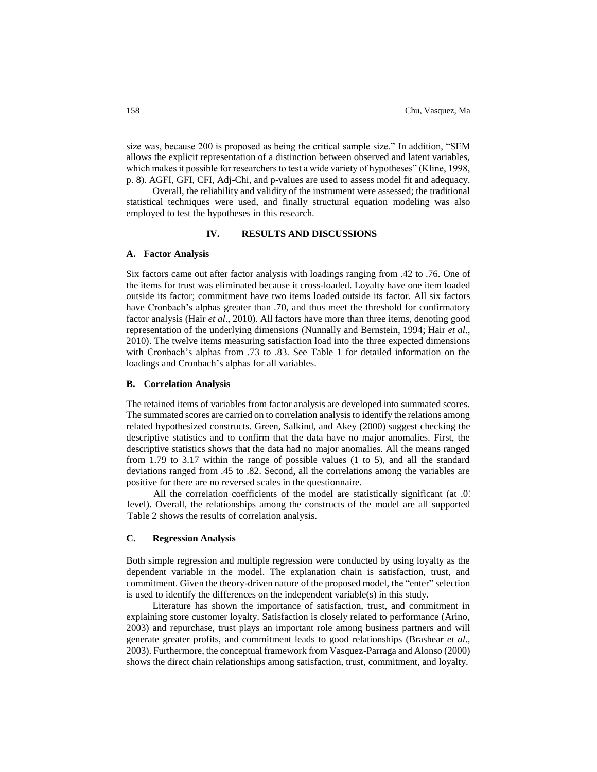size was, because 200 is proposed as being the critical sample size." In addition, "SEM allows the explicit representation of a distinction between observed and latent variables, which makes it possible for researchers to test a wide variety of hypotheses" (Kline, 1998, p. 8). AGFI, GFI, CFI, Adj-Chi, and p-values are used to assess model fit and adequacy.

Overall, the reliability and validity of the instrument were assessed; the traditional statistical techniques were used, and finally structural equation modeling was also employed to test the hypotheses in this research.

### **IV. RESULTS AND DISCUSSIONS**

#### **A. Factor Analysis**

Six factors came out after factor analysis with loadings ranging from .42 to .76. One of the items for trust was eliminated because it cross-loaded. Loyalty have one item loaded outside its factor; commitment have two items loaded outside its factor. All six factors have Cronbach's alphas greater than .70, and thus meet the threshold for confirmatory factor analysis (Hair *et al*., 2010). All factors have more than three items, denoting good representation of the underlying dimensions (Nunnally and Bernstein, 1994; Hair *et al*., 2010). The twelve items measuring satisfaction load into the three expected dimensions with Cronbach's alphas from .73 to .83. See Table 1 for detailed information on the loadings and Cronbach's alphas for all variables.

# **B. Correlation Analysis**

The retained items of variables from factor analysis are developed into summated scores. The summated scores are carried on to correlation analysis to identify the relations among related hypothesized constructs. Green, Salkind, and Akey (2000) suggest checking the descriptive statistics and to confirm that the data have no major anomalies. First, the descriptive statistics shows that the data had no major anomalies. All the means ranged from 1.79 to 3.17 within the range of possible values (1 to 5), and all the standard deviations ranged from .45 to .82. Second, all the correlations among the variables are positive for there are no reversed scales in the questionnaire.

All the correlation coefficients of the model are statistically significant (at .01 level). Overall, the relationships among the constructs of the model are all supported. Table 2 shows the results of correlation analysis.

# **C. Regression Analysis**

Both simple regression and multiple regression were conducted by using loyalty as the dependent variable in the model. The explanation chain is satisfaction, trust, and commitment. Given the theory-driven nature of the proposed model, the "enter" selection is used to identify the differences on the independent variable(s) in this study.

Literature has shown the importance of satisfaction, trust, and commitment in explaining store customer loyalty. Satisfaction is closely related to performance (Arino, 2003) and repurchase, trust plays an important role among business partners and will generate greater profits, and commitment leads to good relationships (Brashear *et al*., 2003). Furthermore, the conceptual framework from Vasquez-Parraga and Alonso (2000) shows the direct chain relationships among satisfaction, trust, commitment, and loyalty.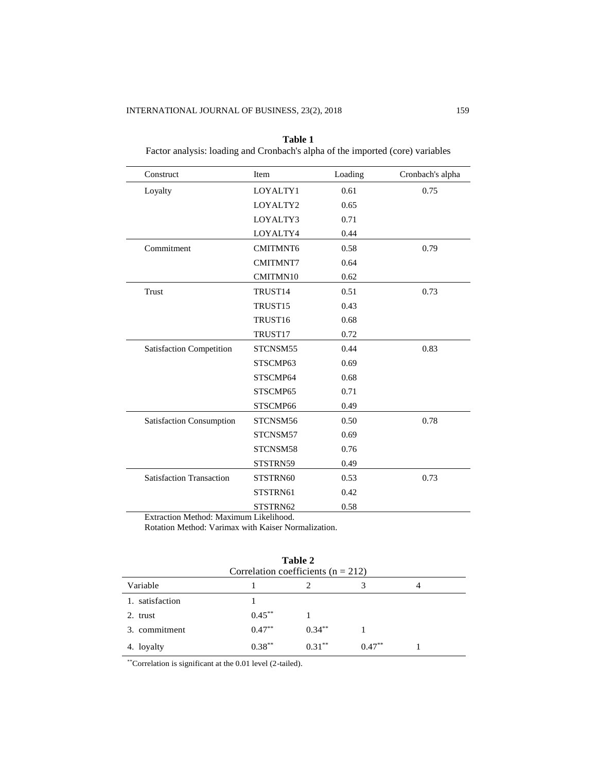| Construct                       | Item                | Loading | Cronbach's alpha |
|---------------------------------|---------------------|---------|------------------|
| Loyalty                         | LOYALTY1            | 0.61    | 0.75             |
|                                 | LOYALTY2            | 0.65    |                  |
|                                 | LOYALTY3            | 0.71    |                  |
|                                 | LOYALTY4            | 0.44    |                  |
| Commitment                      | <b>CMITMNT6</b>     | 0.58    | 0.79             |
|                                 | <b>CMITMNT7</b>     | 0.64    |                  |
|                                 | CMITMN10            | 0.62    |                  |
| Trust                           | TRUST14             | 0.51    | 0.73             |
|                                 | TRUST <sub>15</sub> | 0.43    |                  |
|                                 | TRUST16             | 0.68    |                  |
|                                 | TRUST17             | 0.72    |                  |
| <b>Satisfaction Competition</b> | STCNSM55            | 0.44    | 0.83             |
|                                 | STSCMP63            | 0.69    |                  |
|                                 | STSCMP64            | 0.68    |                  |
|                                 | STSCMP65            | 0.71    |                  |
|                                 | STSCMP66            | 0.49    |                  |
| Satisfaction Consumption        | STCNSM56            | 0.50    | 0.78             |
|                                 | STCNSM57            | 0.69    |                  |
|                                 | STCNSM58            | 0.76    |                  |
|                                 | STSTRN59            | 0.49    |                  |
| <b>Satisfaction Transaction</b> | STSTRN60            | 0.53    | 0.73             |
|                                 | STSTRN61            | 0.42    |                  |
|                                 | STSTRN62            | 0.58    |                  |

**Table 1** Factor analysis: loading and Cronbach's alpha of the imported (core) variables

Extraction Method: Maximum Likelihood.

Rotation Method: Varimax with Kaiser Normalization.

| Table 2<br>Correlation coefficients ( $n = 212$ ) |           |           |           |   |  |  |
|---------------------------------------------------|-----------|-----------|-----------|---|--|--|
| Variable                                          |           |           | 3         | 4 |  |  |
| 1. satisfaction                                   |           |           |           |   |  |  |
| 2. trust                                          | $0.45***$ |           |           |   |  |  |
| 3. commitment                                     | $0.47***$ | $0.34***$ |           |   |  |  |
| 4. loyalty                                        | $0.38***$ | $0.31***$ | $0.47***$ |   |  |  |

\*\*Correlation is significant at the 0.01 level (2-tailed).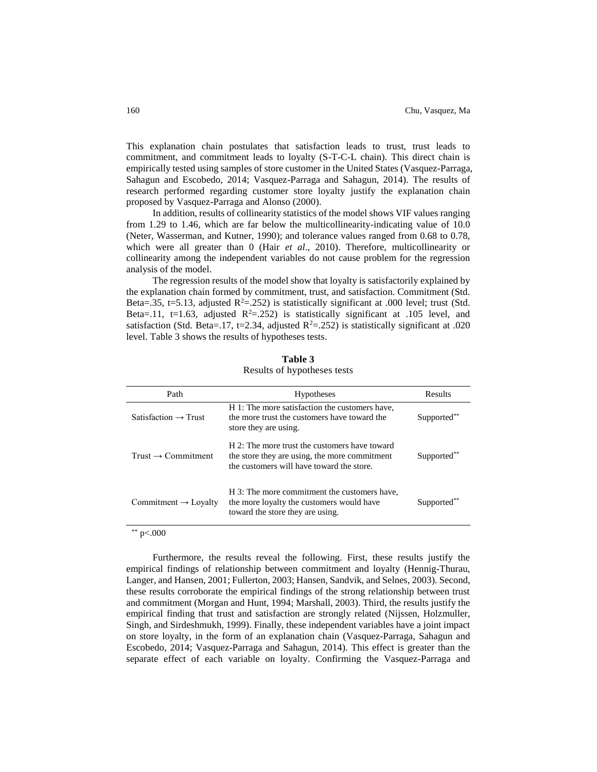This explanation chain postulates that satisfaction leads to trust, trust leads to commitment, and commitment leads to loyalty (S-T-C-L chain). This direct chain is empirically tested using samples of store customer in the United States (Vasquez-Parraga, Sahagun and Escobedo, 2014; Vasquez-Parraga and Sahagun, 2014). The results of research performed regarding customer store loyalty justify the explanation chain proposed by Vasquez-Parraga and Alonso (2000).

In addition, results of collinearity statistics of the model shows VIF values ranging from 1.29 to 1.46, which are far below the multicollinearity-indicating value of 10.0 (Neter, Wasserman, and Kutner, 1990); and tolerance values ranged from 0.68 to 0.78, which were all greater than 0 (Hair *et al*., 2010). Therefore, multicollinearity or collinearity among the independent variables do not cause problem for the regression analysis of the model.

The regression results of the model show that loyalty is satisfactorily explained by the explanation chain formed by commitment, trust, and satisfaction. Commitment (Std. Beta=.35, t=5.13, adjusted  $R^2$ =.252) is statistically significant at .000 level; trust (Std. Beta=.11, t=1.63, adjusted  $R^2$ =.252) is statistically significant at .105 level, and satisfaction (Std. Beta=.17, t=2.34, adjusted  $R^2 = .252$ ) is statistically significant at .020 level. Table 3 shows the results of hypotheses tests.

| Path                             | <b>Hypotheses</b>                                                                                                                           | Results                 |
|----------------------------------|---------------------------------------------------------------------------------------------------------------------------------------------|-------------------------|
| Satisfaction $\rightarrow$ Trust | H 1: The more satisfaction the customers have,<br>the more trust the customers have toward the<br>store they are using.                     | Supported**             |
| Trust $\rightarrow$ Commitment   | H 2: The more trust the customers have toward<br>the store they are using, the more commitment<br>the customers will have toward the store. | Supported <sup>**</sup> |
| Commitment $\rightarrow$ Loyalty | H 3: The more commitment the customers have,<br>the more loyalty the customers would have<br>toward the store they are using.               | Supported**             |

**Table 3** Results of hypotheses tests

\*\*  $p<.000$ 

Furthermore, the results reveal the following. First, these results justify the empirical findings of relationship between commitment and loyalty (Hennig-Thurau, Langer, and Hansen, 2001; Fullerton, 2003; Hansen, Sandvik, and Selnes, 2003). Second, these results corroborate the empirical findings of the strong relationship between trust and commitment (Morgan and Hunt, 1994; Marshall, 2003). Third, the results justify the empirical finding that trust and satisfaction are strongly related (Nijssen, Holzmuller, Singh, and Sirdeshmukh, 1999). Finally, these independent variables have a joint impact on store loyalty, in the form of an explanation chain (Vasquez-Parraga, Sahagun and Escobedo, 2014; Vasquez-Parraga and Sahagun, 2014). This effect is greater than the separate effect of each variable on loyalty. Confirming the Vasquez-Parraga and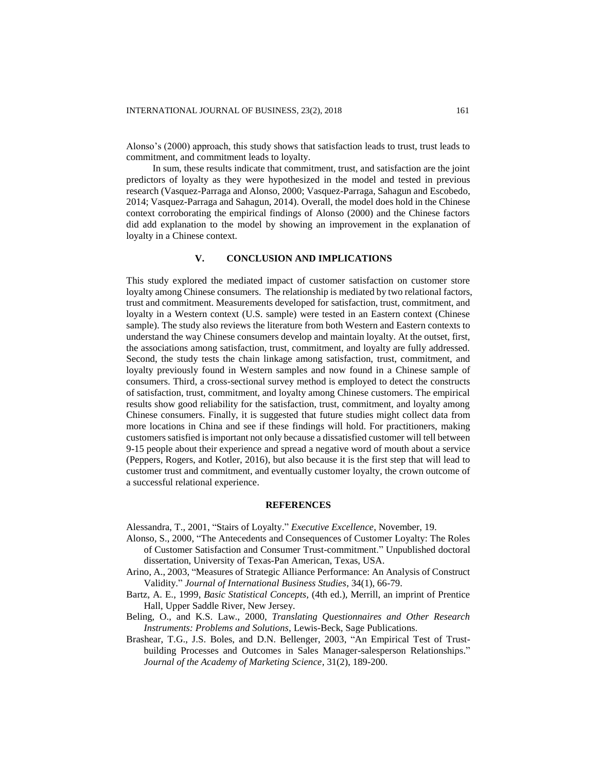Alonso's (2000) approach, this study shows that satisfaction leads to trust, trust leads to commitment, and commitment leads to loyalty.

In sum, these results indicate that commitment, trust, and satisfaction are the joint predictors of loyalty as they were hypothesized in the model and tested in previous research (Vasquez-Parraga and Alonso, 2000; Vasquez-Parraga, Sahagun and Escobedo, 2014; Vasquez-Parraga and Sahagun, 2014). Overall, the model does hold in the Chinese context corroborating the empirical findings of Alonso (2000) and the Chinese factors did add explanation to the model by showing an improvement in the explanation of loyalty in a Chinese context.

# **V. CONCLUSION AND IMPLICATIONS**

This study explored the mediated impact of customer satisfaction on customer store loyalty among Chinese consumers. The relationship is mediated by two relational factors, trust and commitment. Measurements developed for satisfaction, trust, commitment, and loyalty in a Western context (U.S. sample) were tested in an Eastern context (Chinese sample). The study also reviews the literature from both Western and Eastern contexts to understand the way Chinese consumers develop and maintain loyalty. At the outset, first, the associations among satisfaction, trust, commitment, and loyalty are fully addressed. Second, the study tests the chain linkage among satisfaction, trust, commitment, and loyalty previously found in Western samples and now found in a Chinese sample of consumers. Third, a cross-sectional survey method is employed to detect the constructs of satisfaction, trust, commitment, and loyalty among Chinese customers. The empirical results show good reliability for the satisfaction, trust, commitment, and loyalty among Chinese consumers. Finally, it is suggested that future studies might collect data from more locations in China and see if these findings will hold. For practitioners, making customers satisfied isimportant not only because a dissatisfied customer will tell between 9-15 people about their experience and spread a negative word of mouth about a service (Peppers, Rogers, and Kotler, 2016), but also because it is the first step that will lead to customer trust and commitment, and eventually customer loyalty, the crown outcome of a successful relational experience.

# **REFERENCES**

Alessandra, T., 2001, "Stairs of Loyalty." *Executive Excellence*, November, 19.

- Alonso, S., 2000, "The Antecedents and Consequences of Customer Loyalty: The Roles of Customer Satisfaction and Consumer Trust-commitment." Unpublished doctoral dissertation, University of Texas-Pan American, Texas, USA.
- Arino, A., 2003, "Measures of Strategic Alliance Performance: An Analysis of Construct Validity." *Journal of International Business Studies*, 34(1), 66-79.
- Bartz, A. E., 1999, *Basic Statistical Concepts,* (4th ed.), Merrill, an imprint of Prentice Hall, Upper Saddle River, New Jersey.
- Beling, O., and K.S. Law., 2000, *Translating Questionnaires and Other Research Instruments: Problems and Solutions*, Lewis-Beck, Sage Publications.
- Brashear, T.G., J.S. Boles, and D.N. Bellenger, 2003, "An Empirical Test of Trustbuilding Processes and Outcomes in Sales Manager-salesperson Relationships." *Journal of the Academy of Marketing Science*, 31(2), 189-200.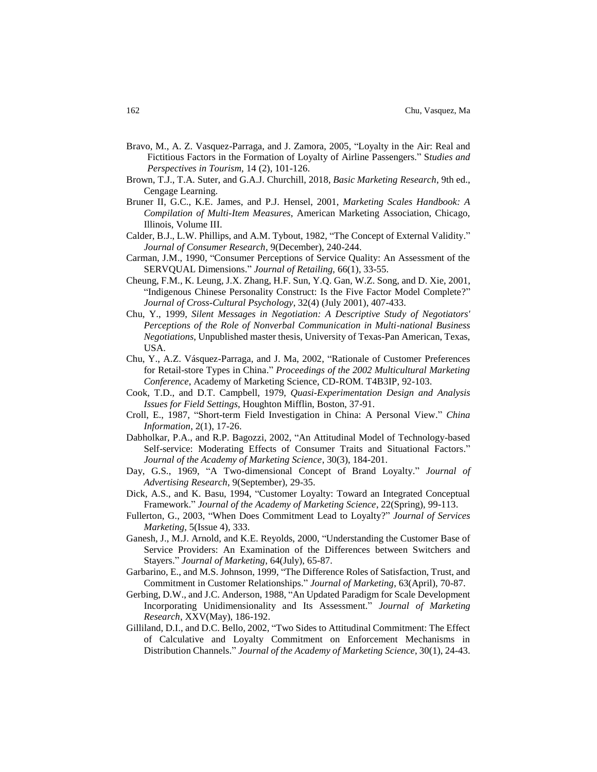- Bravo, M., A. Z. Vasquez-Parraga, and J. Zamora, 2005, "Loyalty in the Air: Real and Fictitious Factors in the Formation of Loyalty of Airline Passengers." S*tudies and Perspectives in Tourism,* 14 (2), 101-126.
- Brown, T.J., T.A. Suter, and G.A.J. Churchill, 2018, *Basic Marketing Research*, 9th ed., Cengage Learning.
- Bruner II, G.C., K.E. James, and P.J. Hensel, 2001, *Marketing Scales Handbook: A Compilation of Multi-Item Measures*, American Marketing Association, Chicago, Illinois, Volume III.
- Calder, B.J., L.W. Phillips, and A.M. Tybout, 1982, "The Concept of External Validity." *Journal of Consumer Research*, 9(December), 240-244.
- Carman, J.M., 1990, "Consumer Perceptions of Service Quality: An Assessment of the SERVQUAL Dimensions." *Journal of Retailing*, 66(1), 33-55.
- Cheung, F.M., K. Leung, J.X. Zhang, H.F. Sun, Y.Q. Gan, W.Z. Song, and D. Xie, 2001, "Indigenous Chinese Personality Construct: Is the Five Factor Model Complete?" *Journal of Cross-Cultural Psychology*, 32(4) (July 2001), 407-433.
- Chu, Y., 1999, *Silent Messages in Negotiation: A Descriptive Study of Negotiators' Perceptions of the Role of Nonverbal Communication in Multi-national Business Negotiations*, Unpublished master thesis, University of Texas-Pan American, Texas, USA.
- Chu, Y., A.Z. Vásquez-Parraga, and J. Ma, 2002, "Rationale of Customer Preferences for Retail-store Types in China." *Proceedings of the 2002 Multicultural Marketing Conference*, Academy of Marketing Science, CD-ROM. T4B3IP, 92-103.
- Cook, T.D., and D.T. Campbell, 1979, *Quasi-Experimentation Design and Analysis Issues for Field Settings*, Houghton Mifflin, Boston, 37-91.
- Croll, E., 1987, "Short-term Field Investigation in China: A Personal View." *China Information*, 2(1), 17-26.
- Dabholkar, P.A., and R.P. Bagozzi, 2002, "An Attitudinal Model of Technology-based Self-service: Moderating Effects of Consumer Traits and Situational Factors." *Journal of the Academy of Marketing Science*, 30(3), 184-201.
- Day, G.S., 1969, "A Two-dimensional Concept of Brand Loyalty." *Journal of Advertising Research*, 9(September), 29-35.
- Dick, A.S., and K. Basu, 1994, "Customer Loyalty: Toward an Integrated Conceptual Framework." *Journal of the Academy of Marketing Science*, 22(Spring), 99-113.
- Fullerton, G., 2003, "When Does Commitment Lead to Loyalty?" *Journal of Services Marketing*, 5(Issue 4), 333.
- Ganesh, J., M.J. Arnold, and K.E. Reyolds, 2000, "Understanding the Customer Base of Service Providers: An Examination of the Differences between Switchers and Stayers." *Journal of Marketing*, 64(July), 65-87.
- Garbarino, E., and M.S. Johnson, 1999, "The Difference Roles of Satisfaction, Trust, and Commitment in Customer Relationships." *Journal of Marketing*, 63(April), 70-87.
- Gerbing, D.W., and J.C. Anderson, 1988, "An Updated Paradigm for Scale Development Incorporating Unidimensionality and Its Assessment." *Journal of Marketing Research*, XXV(May), 186-192.
- Gilliland, D.I., and D.C. Bello, 2002, "Two Sides to Attitudinal Commitment: The Effect of Calculative and Loyalty Commitment on Enforcement Mechanisms in Distribution Channels." *Journal of the Academy of Marketing Science*, 30(1), 24-43.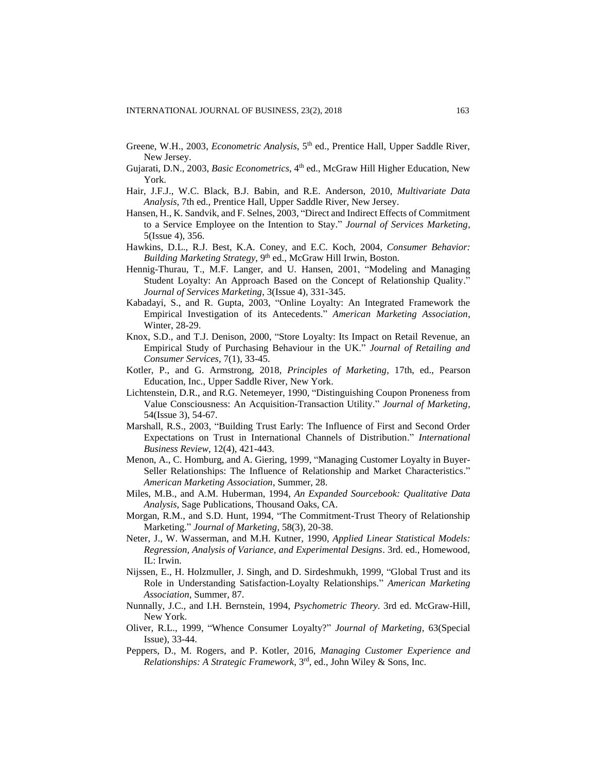- Greene, W.H., 2003, *Econometric Analysis*, 5<sup>th</sup> ed., Prentice Hall, Upper Saddle River, New Jersey.
- Gujarati, D.N., 2003, *Basic Econometrics*, 4<sup>th</sup> ed., McGraw Hill Higher Education, New York.
- Hair, J.F.J., W.C. Black, B.J. Babin, and R.E. Anderson, 2010, *Multivariate Data Analysis*, 7th ed., Prentice Hall, Upper Saddle River, New Jersey.
- Hansen, H., K. Sandvik, and F. Selnes, 2003, "Direct and Indirect Effects of Commitment to a Service Employee on the Intention to Stay." *Journal of Services Marketing*, 5(Issue 4), 356.
- Hawkins, D.L., R.J. Best, K.A. Coney, and E.C. Koch, 2004, *Consumer Behavior: Building Marketing Strategy*, 9<sup>th</sup> ed., McGraw Hill Irwin, Boston.
- Hennig-Thurau, T., M.F. Langer, and U. Hansen, 2001, "Modeling and Managing Student Loyalty: An Approach Based on the Concept of Relationship Quality." *Journal of Services Marketing*, 3(Issue 4), 331-345.
- Kabadayi, S., and R. Gupta, 2003, "Online Loyalty: An Integrated Framework the Empirical Investigation of its Antecedents." *American Marketing Association*, Winter, 28-29.
- Knox, S.D., and T.J. Denison, 2000, "Store Loyalty: Its Impact on Retail Revenue, an Empirical Study of Purchasing Behaviour in the UK." *Journal of Retailing and Consumer Services*, 7(1), 33-45.
- Kotler, P., and G. Armstrong, 2018, *Principles of Marketing*, 17th, ed., Pearson Education, Inc., Upper Saddle River, New York.
- Lichtenstein, D.R., and R.G. Netemeyer, 1990, "Distinguishing Coupon Proneness from Value Consciousness: An Acquisition-Transaction Utility." *Journal of Marketing*, 54(Issue 3), 54-67.
- Marshall, R.S., 2003, "Building Trust Early: The Influence of First and Second Order Expectations on Trust in International Channels of Distribution." *International Business Review*, 12(4), 421-443.
- Menon, A., C. Homburg, and A. Giering, 1999, "Managing Customer Loyalty in Buyer-Seller Relationships: The Influence of Relationship and Market Characteristics." *American Marketing Association*, Summer, 28.
- Miles, M.B., and A.M. Huberman, 1994, *An Expanded Sourcebook: Qualitative Data Analysis*, Sage Publications, Thousand Oaks, CA.
- Morgan, R.M., and S.D. Hunt, 1994, "The Commitment-Trust Theory of Relationship Marketing." *Journal of Marketing*, 58(3), 20-38.
- Neter, J., W. Wasserman, and M.H. Kutner, 1990, *Applied Linear Statistical Models: Regression, Analysis of Variance, and Experimental Designs*. 3rd. ed., Homewood, IL: Irwin.
- Nijssen, E., H. Holzmuller, J. Singh, and D. Sirdeshmukh, 1999, "Global Trust and its Role in Understanding Satisfaction-Loyalty Relationships." *American Marketing Association*, Summer, 87.
- Nunnally, J.C., and I.H. Bernstein, 1994, *Psychometric Theory*. 3rd ed. McGraw-Hill, New York.
- Oliver, R.L., 1999, "Whence Consumer Loyalty?" *Journal of Marketing*, 63(Special Issue), 33-44.
- Peppers, D., M. Rogers, and P. Kotler, 2016, *Managing Customer Experience and*  Relationships: A Strategic Framework, 3<sup>rd</sup>, ed., John Wiley & Sons, Inc.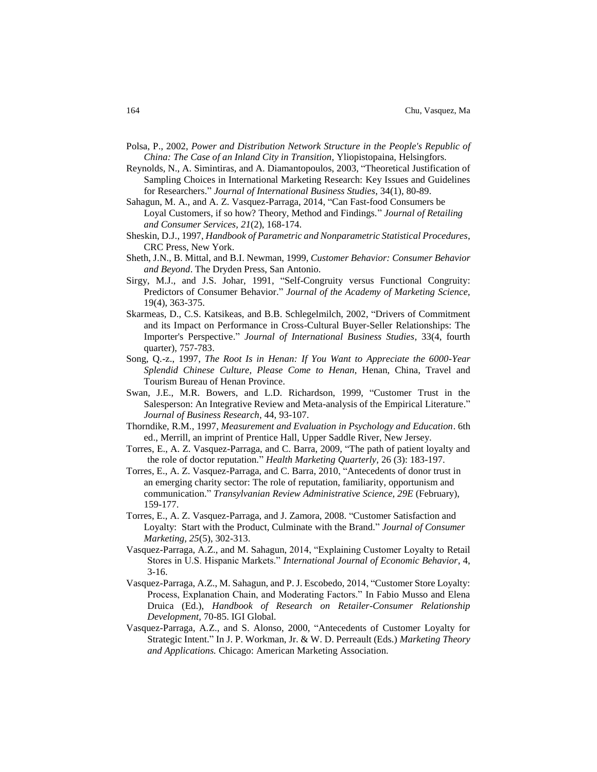- Polsa, P., 2002, *Power and Distribution Network Structure in the People's Republic of China: The Case of an Inland City in Transition*, Yliopistopaina, Helsingfors.
- Reynolds, N., A. Simintiras, and A. Diamantopoulos, 2003, "Theoretical Justification of Sampling Choices in International Marketing Research: Key Issues and Guidelines for Researchers." *Journal of International Business Studies*, 34(1), 80-89.
- Sahagun, M. A., and A. Z. Vasquez-Parraga, 2014, "Can Fast-food Consumers be Loyal Customers, if so how? Theory, Method and Findings." *Journal of Retailing and Consumer Services, 21*(2), 168-174.
- Sheskin, D.J., 1997, *Handbook of Parametric and Nonparametric Statistical Procedures*, CRC Press, New York.
- Sheth, J.N., B. Mittal, and B.I. Newman, 1999, *Customer Behavior: Consumer Behavior and Beyond*. The Dryden Press, San Antonio.
- Sirgy, M.J., and J.S. Johar, 1991, "Self-Congruity versus Functional Congruity: Predictors of Consumer Behavior." *Journal of the Academy of Marketing Science,* 19(4), 363-375.
- Skarmeas, D., C.S. Katsikeas, and B.B. Schlegelmilch, 2002, "Drivers of Commitment and its Impact on Performance in Cross-Cultural Buyer-Seller Relationships: The Importer's Perspective." *Journal of International Business Studies*, 33(4, fourth quarter), 757-783.
- Song, Q.-z., 1997, *The Root Is in Henan: If You Want to Appreciate the 6000-Year Splendid Chinese Culture, Please Come to Henan*, Henan, China, Travel and Tourism Bureau of Henan Province.
- Swan, J.E., M.R. Bowers, and L.D. Richardson, 1999, "Customer Trust in the Salesperson: An Integrative Review and Meta-analysis of the Empirical Literature." *Journal of Business Research*, 44, 93-107.
- Thorndike, R.M., 1997, *Measurement and Evaluation in Psychology and Education*. 6th ed., Merrill, an imprint of Prentice Hall, Upper Saddle River, New Jersey.
- Torres, E., A. Z. Vasquez-Parraga, and C. Barra, 2009, "The path of patient loyalty and the role of doctor reputation." *Health Marketing Quarterly,* 26 (3): 183-197.
- Torres, E., A. Z. Vasquez-Parraga, and C. Barra, 2010, "Antecedents of donor trust in an emerging charity sector: The role of reputation, familiarity, opportunism and communication." *Transylvanian Review Administrative Science, 29E* (February), 159-177.
- Torres, E., A. Z. Vasquez-Parraga, and J. Zamora, 2008. "Customer Satisfaction and Loyalty: Start with the Product, Culminate with the Brand." *Journal of Consumer Marketing, 25*(5), 302-313.
- Vasquez-Parraga, A.Z., and M. Sahagun, 2014, "Explaining Customer Loyalty to Retail Stores in U.S. Hispanic Markets." *International Journal of Economic Behavior*, 4, 3-16.
- Vasquez-Parraga, A.Z., M. Sahagun, and P. J. Escobedo, 2014, "Customer Store Loyalty: Process, Explanation Chain, and Moderating Factors." In Fabio Musso and Elena Druica (Ed.), *Handbook of Research on Retailer-Consumer Relationship Development*, 70-85. IGI Global.
- Vasquez-Parraga, A.Z., and S. Alonso, 2000, "Antecedents of Customer Loyalty for Strategic Intent." In J. P. Workman, Jr. & W. D. Perreault (Eds.) *Marketing Theory and Applications.* Chicago: American Marketing Association.